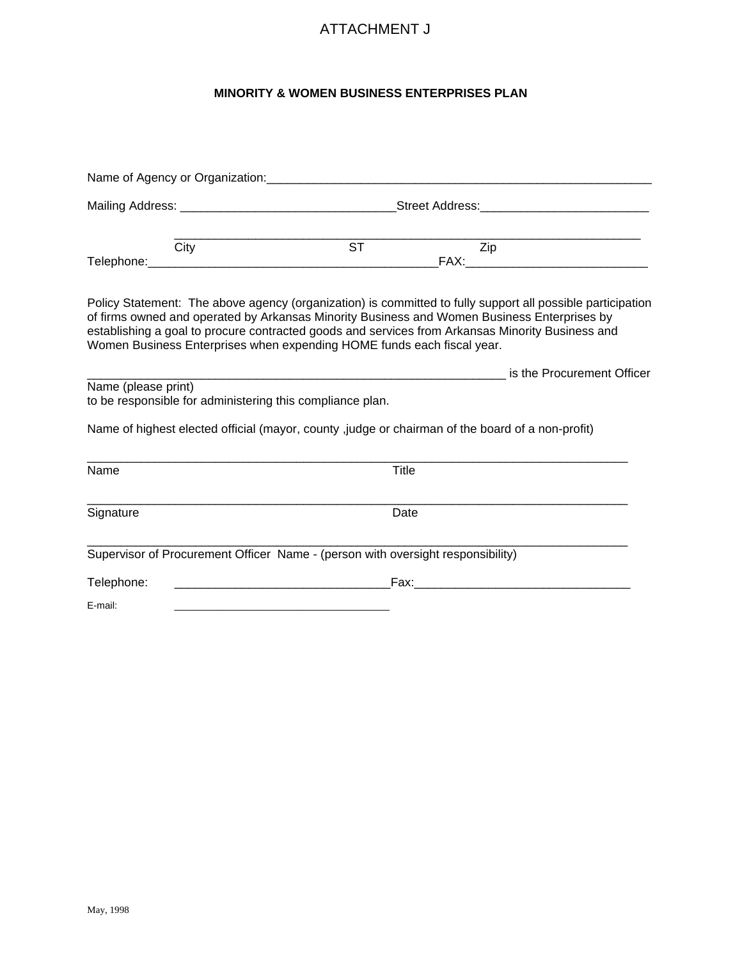## ATTACHMENT J

## **MINORITY & WOMEN BUSINESS ENTERPRISES PLAN**

|                     |      |                                                                                                                                                                                                                                                                           | Mailing Address: _________________________________Street Address:_______________ |                                                                                                            |  |
|---------------------|------|---------------------------------------------------------------------------------------------------------------------------------------------------------------------------------------------------------------------------------------------------------------------------|----------------------------------------------------------------------------------|------------------------------------------------------------------------------------------------------------|--|
|                     | City | <b>ST</b>                                                                                                                                                                                                                                                                 | Zip                                                                              |                                                                                                            |  |
|                     |      | of firms owned and operated by Arkansas Minority Business and Women Business Enterprises by<br>establishing a goal to procure contracted goods and services from Arkansas Minority Business and<br>Women Business Enterprises when expending HOME funds each fiscal year. |                                                                                  | Policy Statement: The above agency (organization) is committed to fully support all possible participation |  |
| Name (please print) |      | to be responsible for administering this compliance plan.                                                                                                                                                                                                                 |                                                                                  |                                                                                                            |  |
|                     |      | Name of highest elected official (mayor, county, judge or chairman of the board of a non-profit)                                                                                                                                                                          |                                                                                  |                                                                                                            |  |
| Name                |      |                                                                                                                                                                                                                                                                           | Title                                                                            |                                                                                                            |  |
| Signature           |      |                                                                                                                                                                                                                                                                           | Date                                                                             |                                                                                                            |  |
|                     |      | Supervisor of Procurement Officer Name - (person with oversight responsibility)                                                                                                                                                                                           |                                                                                  |                                                                                                            |  |
| Telephone:          |      |                                                                                                                                                                                                                                                                           |                                                                                  |                                                                                                            |  |
| E-mail:             |      |                                                                                                                                                                                                                                                                           |                                                                                  |                                                                                                            |  |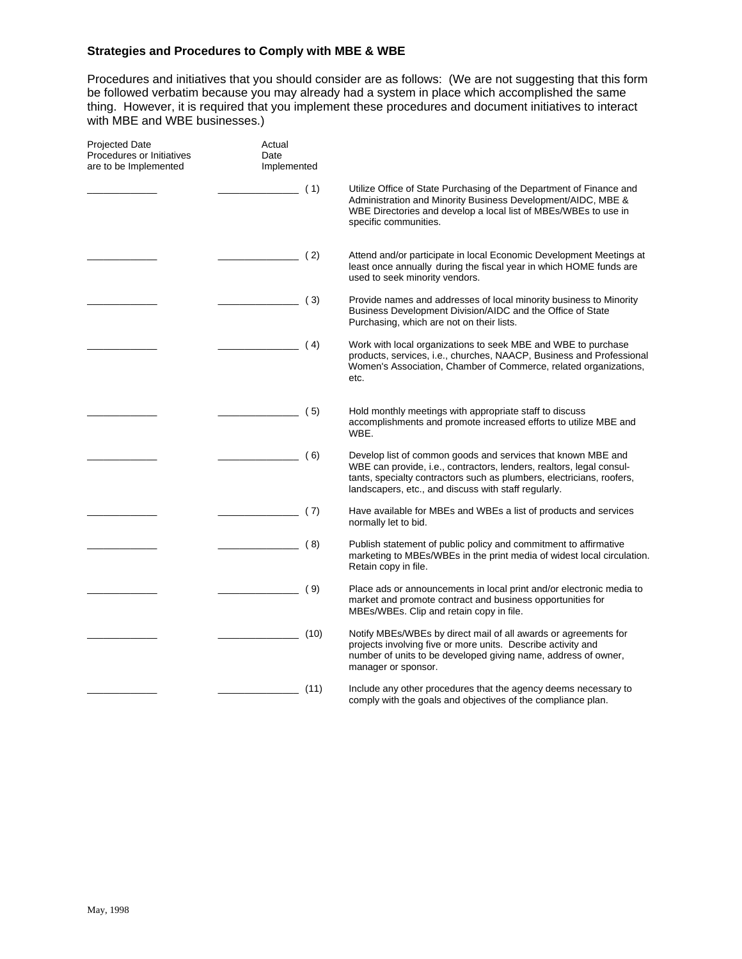## **Strategies and Procedures to Comply with MBE & WBE**

Procedures and initiatives that you should consider are as follows: (We are not suggesting that this form be followed verbatim because you may already had a system in place which accomplished the same thing. However, it is required that you implement these procedures and document initiatives to interact with MBE and WBE businesses.)

| <b>Projected Date</b><br>Procedures or Initiatives<br>are to be Implemented | Actual<br>Date<br>Implemented |                                                                                                                                                                                                                                                                       |
|-----------------------------------------------------------------------------|-------------------------------|-----------------------------------------------------------------------------------------------------------------------------------------------------------------------------------------------------------------------------------------------------------------------|
|                                                                             | (1)                           | Utilize Office of State Purchasing of the Department of Finance and<br>Administration and Minority Business Development/AIDC, MBE &<br>WBE Directories and develop a local list of MBEs/WBEs to use in<br>specific communities.                                       |
|                                                                             | (2)                           | Attend and/or participate in local Economic Development Meetings at<br>least once annually during the fiscal year in which HOME funds are<br>used to seek minority vendors.                                                                                           |
|                                                                             | (3)                           | Provide names and addresses of local minority business to Minority<br>Business Development Division/AIDC and the Office of State<br>Purchasing, which are not on their lists.                                                                                         |
|                                                                             | (4)                           | Work with local organizations to seek MBE and WBE to purchase<br>products, services, i.e., churches, NAACP, Business and Professional<br>Women's Association, Chamber of Commerce, related organizations,<br>etc.                                                     |
|                                                                             | (5)                           | Hold monthly meetings with appropriate staff to discuss<br>accomplishments and promote increased efforts to utilize MBE and<br>WBE.                                                                                                                                   |
|                                                                             | (6)                           | Develop list of common goods and services that known MBE and<br>WBE can provide, i.e., contractors, lenders, realtors, legal consul-<br>tants, specialty contractors such as plumbers, electricians, roofers,<br>landscapers, etc., and discuss with staff regularly. |
|                                                                             | (7)                           | Have available for MBEs and WBEs a list of products and services<br>normally let to bid.                                                                                                                                                                              |
|                                                                             | (8)                           | Publish statement of public policy and commitment to affirmative<br>marketing to MBEs/WBEs in the print media of widest local circulation.<br>Retain copy in file.                                                                                                    |
|                                                                             | (9)                           | Place ads or announcements in local print and/or electronic media to<br>market and promote contract and business opportunities for<br>MBEs/WBEs. Clip and retain copy in file.                                                                                        |
|                                                                             | (10)                          | Notify MBEs/WBEs by direct mail of all awards or agreements for<br>projects involving five or more units. Describe activity and<br>number of units to be developed giving name, address of owner,<br>manager or sponsor.                                              |
|                                                                             | (11)                          | Include any other procedures that the agency deems necessary to<br>comply with the goals and objectives of the compliance plan.                                                                                                                                       |